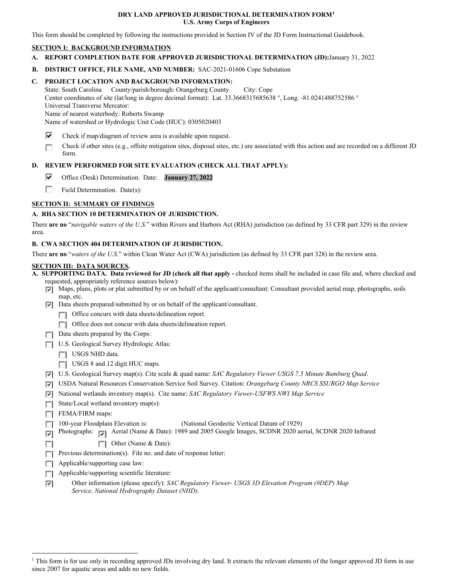### **DRY LAND APPROVED JURISDICTIONAL DETERMINATION FORM[1](#page-0-0) U.S. Army Corps of Engineers**

This form should be completed by following the instructions provided in Section IV of the JD Form Instructional Guidebook.

## **SECTION I: BACKGROUND INFORMATION**

- **A. REPORT COMPLETION DATE FOR APPROVED JURISDICTIONAL DETERMINATION (JD):**January 31, 2022
- **B. DISTRICT OFFICE, FILE NAME, AND NUMBER:** SAC-2021-01606 Cope Substation

# **C. PROJECT LOCATION AND BACKGROUND INFORMATION:**

State: South Carolina County/parish/borough: Orangeburg County City: Cope Center coordinates of site (lat/long in degree decimal format): Lat. 33.3668315685638 °, Long. -81.0241488752586 ° Universal Transverse Mercator:

Name of nearest waterbody: Roberts Swamp

Name of watershed or Hydrologic Unit Code (HUC): 0305020403

- ⊽ Check if map/diagram of review area is available upon request.
- Check if other sites (e.g., offsite mitigation sites, disposal sites, etc.) are associated with this action and are recorded on a different JD г form.

# **D. REVIEW PERFORMED FOR SITE EVALUATION (CHECK ALL THAT APPLY):**

- ⊽ Office (Desk) Determination. Date: **January 27, 2022**
- 55 Field Determination. Date(s):

# **SECTION II: SUMMARY OF FINDINGS**

# **A. RHA SECTION 10 DETERMINATION OF JURISDICTION.**

There **are no** "*navigable waters of the U.S.*" within Rivers and Harbors Act (RHA) jurisdiction (as defined by 33 CFR part 329) in the review area.

## **B. CWA SECTION 404 DETERMINATION OF JURISDICTION.**

There **are no** "*waters of the U.S.*" within Clean Water Act (CWA) jurisdiction (as defined by 33 CFR part 328) in the review area.

#### **SECTION III: DATA SOURCES.**

**A. SUPPORTING DATA. Data reviewed for JD (check all that apply -** checked items shall be included in case file and, where checked and requested, appropriately reference sources below):

- $\nabla$  Maps, plans, plots or plat submitted by or on behalf of the applicant/consultant: Consultant provided aerial map, photographs, soils map, etc.
- $\nabla$  Data sheets prepared/submitted by or on behalf of the applicant/consultant.
	- **T** Office concurs with data sheets/delineation report.
	- Office does not concur with data sheets/delineation report.
- $\Box$  Data sheets prepared by the Corps:
- U.S. Geological Survey Hydrologic Atlas:
	- USGS NHD data.
	- USGS 8 and 12 digit HUC maps.
- U.S. Geological Survey map(s). Cite scale & quad name: *SAC Regulatory Viewer USGS 7.5 Minute Bamburg Quad*.
- USDA Natural Resources Conservation Service Soil Survey. Citation: *Orangeburg County NRCS SSURGO Map Service*
- National wetlands inventory map(s). Cite name: *SAC Regulatory Viewer-USFWS NWI Map Service*
- State/Local wetland inventory map(s):
- FEMA/FIRM maps:

 $\sim$ 

- $\overline{a}$ 100-year Floodplain Elevation is: (National Geodectic Vertical Datum of 1929)
- Photographs:  $\sqrt{ }$  Aerial (Name & Date): 1989 and 2005 Google Images, SCDNR 2020 aerial, SCDNR 2020 Infrared  $\overline{\mathbf{v}}$ 
	- Other (Name & Date):
- **Previous determination(s).** File no. and date of response letter:
- $\Box$  Applicable/supporting case law:
- Applicable/supporting scientific literature:
- Other information (please specify): *SAC Regulatory Viewer- USGS 3D Elevation Program (#DEP) Map* ⊽ *Service, National Hydrography Dataset (NHD)*.

<span id="page-0-0"></span><sup>&</sup>lt;sup>1</sup> This form is for use only in recording approved JDs involving dry land. It extracts the relevant elements of the longer approved JD form in use since 2007 for aquatic areas and adds no new fields.